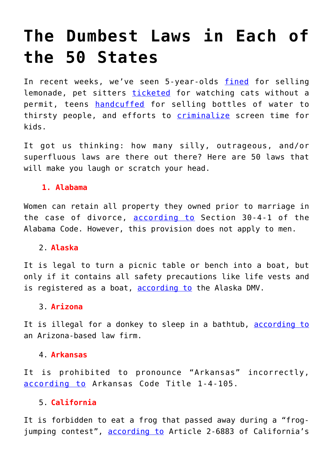# **[The Dumbest Laws in Each of](https://intellectualtakeout.org/2017/07/the-dumbest-laws-in-each-of-the-50-states/) [the 50 States](https://intellectualtakeout.org/2017/07/the-dumbest-laws-in-each-of-the-50-states/)**

In recent weeks, we've seen 5-year-olds [fined](https://www.intellectualtakeout.org/article/5-year-old-fined-200-selling-lemonade) for selling lemonade, pet sitters [ticketed](https://www.intellectualtakeout.org/article/pet-sitting-kids-may-now-get-slapped-fine) for watching cats without a permit, teens [handcuffed](https://www.intellectualtakeout.org/article/without-state-who-will-handcuff-teens-selling-water-bottles) for selling bottles of water to thirsty people, and efforts to **[criminalize](https://www.intellectualtakeout.org/article/colorado-criminalize-screen-time-kids)** screen time for kids.

It got us thinking: how many silly, outrageous, and/or superfluous laws are there out there? Here are 50 laws that will make you laugh or scratch your head.

# **1. Alabama**

Women can retain all property they owned prior to marriage in the case of divorce, [according to](http://law.justia.com/codes/alabama/2006/22063/30-4-1.html) Section 30-4-1 of the Alabama Code. However, this provision does not apply to men.

# 2. **Alaska**

It is legal to turn a picnic table or bench into a boat, but only if it contains all safety precautions like life vests and is registered as a boat, [according to](http://www.dmv.org/ak-alaska/boat-registration.php) the Alaska DMV.

# 3. **Arizona**

It is illegal for a donkey to sleep in a bathtub, [according to](http://www.naeglelawfirm.com/Blog/2014/May/Strange-Arizona-Laws.aspx) an Arizona-based law firm.

# 4. **Arkansas**

It is prohibited to pronounce "Arkansas" incorrectly, [according to](http://codes.findlaw.com/ar/title-1-general-provisions/ar-code-sect-1-4-105.html) Arkansas Code Title 1-4-105.

# 5. **California**

It is forbidden to eat a frog that passed away during a "frogjumping contest", [according to](http://leginfo.legislature.ca.gov/faces/codes_displayText.xhtml?lawCode=FGC&division=6.&title=&part=1.&chapter=7.&article=2.) Article 2-6883 of California's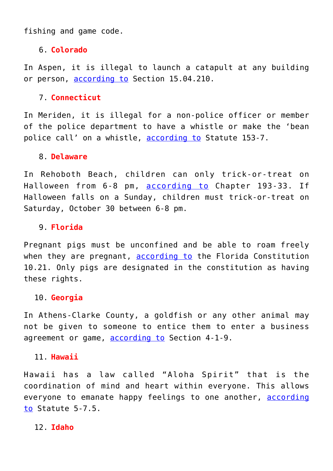fishing and game code.

# 6. **Colorado**

In Aspen, it is illegal to launch a catapult at any building or person, [according to](http://www.aspenpitkin.com/Portals/0/docs/City/clerk/municode/coaspent15.pdf) Section 15.04.210.

# 7. **Connecticut**

In Meriden, it is illegal for a non-police officer or member of the police department to have a whistle or make the 'bean police call' on a whistle, [according to](http://ecode360.com/13486637?highlight=whistle%2Cbean#13486637) Statute 153-7.

# 8. **Delaware**

In Rehoboth Beach, children can only trick-or-treat on Halloween from 6-8 pm, [according to](http://ecode360.com/7274490) Chapter 193-33. If Halloween falls on a Sunday, children must trick-or-treat on Saturday, October 30 between 6-8 pm.

# 9. **Florida**

Pregnant pigs must be unconfined and be able to roam freely when they are pregnant, [according to](http://www.leg.state.fl.us/statutes/index.cfm?submenu=3#A10S21) the Florida Constitution 10.21. Only pigs are designated in the constitution as having these rights.

# 10. **Georgia**

In Athens-Clarke County, a goldfish or any other animal may not be given to someone to entice them to enter a business agreement or game, [according to](https://library.municode.com/GA/athens-clarke_county/codes/code_of_ordinances?nodeId=PTIIICOOR_TIT4PUHE_CH4-1ANCO_ART2DUPRRECOAN_S4-1-9ANGI) Section 4-1-9.

# 11. **Hawaii**

Hawaii has a law called "Aloha Spirit" that is the coordination of mind and heart within everyone. This allows everyone to emanate happy feelings to one another, [according](https://www.lawserver.com/law/state/hawaii/hi-statutes/hawaii_statutes_5-7-5) [to](https://www.lawserver.com/law/state/hawaii/hi-statutes/hawaii_statutes_5-7-5) Statute 5-7.5.

# 12. **Idaho**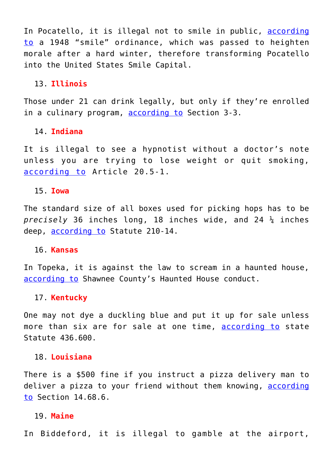In Pocatello, it is illegal not to smile in public, [according](http://www.pocatello.us/462/US-Smile-Capital) [to](http://www.pocatello.us/462/US-Smile-Capital) a 1948 "smile" ordinance, which was passed to heighten morale after a hard winter, therefore transforming Pocatello into the United States Smile Capital.

## 13. **Illinois**

Those under 21 can drink legally, but only if they're enrolled in a culinary program, [according to](http://www.ilga.gov/legislation/fulltext.asp?GAID=11&SessionID=84&GA=97&DocTypeID=SB&DocNum=758&LegID=&SpecSess=&Session=) Section 3-3.

## 14. **Indiana**

It is illegal to see a hypnotist without a doctor's note unless you are trying to lose weight or quit smoking, [according to](http://www.in.gov/pla/files/Hypnotist_Statutes_2006.pdf) Article 20.5-1.

#### 15. **Iowa**

The standard size of all boxes used for picking hops has to be *precisely* 36 inches long, 18 inches wide, and 24 ¼ inches deep, [according to](https://www.legis.iowa.gov/docs/publications/ICV/713266.pdf) Statute 210-14.

#### 16. **Kansas**

In Topeka, it is against the law to scream in a haunted house, [according to](http://www.snco.us/planning/permitting_permits_hauntedhouse.asp) Shawnee County's Haunted House conduct.

## 17. **Kentucky**

One may not dye a duckling blue and put it up for sale unless more than six are for sale at one time, [according to](http://www.lrc.ky.gov/statutes/statute.aspx?id=19037) state Statute 436.600.

#### 18. **Louisiana**

There is a \$500 fine if you instruct a pizza delivery man to deliver a pizza to your friend without them knowing, [according](https://library.municode.com/la/lockport/codes/code_of_ordinances?nodeId=COOR_CH14CRCO_ARTIINGE_PTVIIOFAGPR_S14-68.2RE) [to](https://library.municode.com/la/lockport/codes/code_of_ordinances?nodeId=COOR_CH14CRCO_ARTIINGE_PTVIIOFAGPR_S14-68.2RE) Section 14.68.6.

# 19. **Maine**

In Biddeford, it is illegal to gamble at the airport,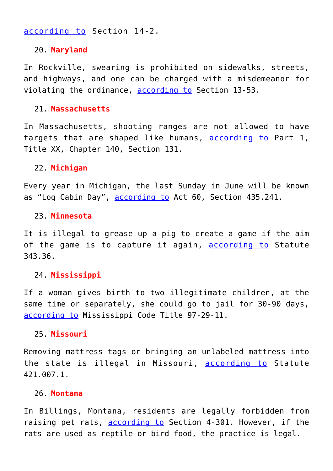# [according to](http://ecode360.com/15143537?highlight=violations,sec#15143537) Section 14-2.

#### 20. **Maryland**

In Rockville, swearing is prohibited on sidewalks, streets, and highways, and one can be charged with a misdemeanor for violating the ordinance, [according to](http://www.rocknet.org/community/FlintLedge/Noise%20Control%20Rockville%20Offense%2013_54.pdf) Section 13-53.

## 21. **Massachusetts**

In Massachusetts, shooting ranges are not allowed to have targets that are shaped like humans, [according to](https://malegislature.gov/Laws/GeneralLaws/PartI/TitleXX/Chapter140/Section131) Part 1, Title XX, Chapter 140, Section 131.

#### 22. **Michigan**

Every year in Michigan, the last Sunday in June will be known as "Log Cabin Day", [according to](https://www.legislature.mi.gov/(S(1sk4ubvmpuqzksunsb4xsyeb))/mileg.aspx?page=getObject&objectName=mcl-435-241) Act 60, Section 435.241.

#### 23. **Minnesota**

It is illegal to grease up a pig to create a game if the aim of the game is to capture it again, **[according to](https://www.revisor.mn.gov/statutes/?id=343.36)** Statute 343.36.

# 24. **Mississippi**

If a woman gives birth to two illegitimate children, at the same time or separately, she could go to jail for 30-90 days, [according to](http://codes.findlaw.com/ms/title-97-crimes/ms-code-sect-97-29-11.html) Mississippi Code Title 97-29-11.

## 25. **Missouri**

Removing mattress tags or bringing an unlabeled mattress into the state is illegal in Missouri, [according to](http://revisor.mo.gov/main/OneSection.aspx?section=421.007&bid=23905&hl=) Statute 421.007.1.

#### 26. **Montana**

In Billings, Montana, residents are legally forbidden from raising pet rats, [according to](https://library.municode.com/mt/billings/codes/code_of_ordinances?nodeId=CICO_CH4AN) Section 4-301. However, if the rats are used as reptile or bird food, the practice is legal.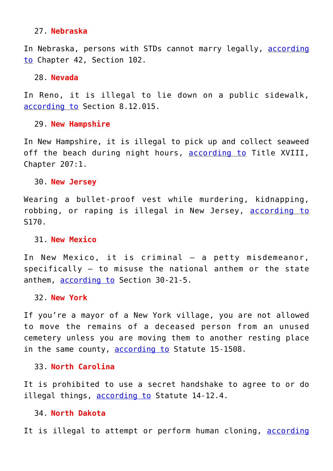## 27. **Nebraska**

In Nebraska, persons with STDs cannot marry legally, [according](http://nebraskalegislature.gov/laws/statutes.php?statute=42-102) [to](http://nebraskalegislature.gov/laws/statutes.php?statute=42-102) Chapter 42, Section 102.

## 28. **Nevada**

In Reno, it is illegal to lie down on a public sidewalk, [according to](http://reno-nv.elaws.us/code/adco_pt2_title8_ch8.12_sec8.12.015) Section 8.12.015.

#### 29. **New Hampshire**

In New Hampshire, it is illegal to pick up and collect seaweed off the beach during night hours, [according to](http://www.gencourt.state.nh.us/rsa/html/xviii/207/207-mrg.htm) Title XVIII, Chapter 207:1.

#### 30. **New Jersey**

Wearing a bullet-proof vest while murdering, kidnapping, robbing, or raping is illegal in New Jersey, [according to](ftp://www.njleg.state.nj.us/20042005/S0500/170_I1.PDF) S170.

#### 31. **New Mexico**

In New Mexico, it is criminal – a petty misdemeanor, specifically – to misuse the national anthem or the state anthem, [according to](http://statutes.laws.com/new-mexico/chapter-30/article-21/section-30-21-5) Section 30-21-5.

## 32. **New York**

If you're a mayor of a New York village, you are not allowed to move the remains of a deceased person from an unused cemetery unless you are moving them to another resting place in the same county, [according to](http://law.justia.com/codes/new-york/2012/vil/article-15/15-1508/) Statute 15-1508.

## 33. **North Carolina**

It is prohibited to use a secret handshake to agree to or do illegal things, [according to](http://www.ncga.state.nc.us/EnactedLegislation/Statutes/HTML/BySection/Chapter_14/GS_14-12.4.html) Statute 14-12.4.

## 34. **North Dakota**

It is illegal to attempt or perform human cloning, [according](http://www.legis.nd.gov/cencode/t12-1c39.pdf?20130717171541)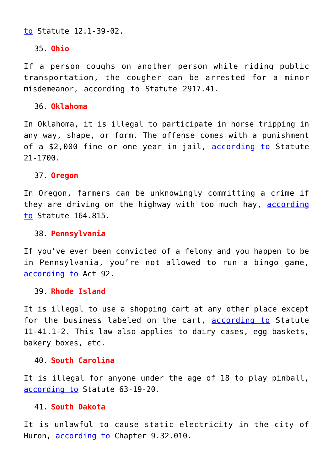[to](http://www.legis.nd.gov/cencode/t12-1c39.pdf?20130717171541) Statute 12.1-39-02.

# 35. **Ohio**

If a person coughs on another person while riding public transportation, the cougher can be arrested for a minor misdemeanor, according to Statute 2917.41.

# 36. **Oklahoma**

In Oklahoma, it is illegal to participate in horse tripping in any way, shape, or form. The offense comes with a punishment of a \$2,000 fine or one year in jail, [according to](http://law.justia.com/codes/oklahoma/2014/title-21/section-21-1700) Statute 21-1700.

# 37. **Oregon**

In Oregon, farmers can be unknowingly committing a crime if they are driving on the highway with too much hay, [according](http://www.leg.state.or.us/ors/164.html) [to](http://www.leg.state.or.us/ors/164.html) Statute 164.815.

# 38. **Pennsylvania**

If you've ever been convicted of a felony and you happen to be in Pennsylvania, you're not allowed to run a bingo game, [according to](http://www.legis.state.pa.us/cfdocs/legis/li/uconsCheck.cfm?yr=2013&sessInd=0&act=92) Act 92.

## 39. **Rhode Island**

It is illegal to use a shopping cart at any other place except for the business labeled on the cart, **[according to](http://webserver.rilin.state.ri.us/Statutes/TITLE11/11-41.1/11-41.1-3.HTM)** Statute 11-41.1-2. This law also applies to dairy cases, egg baskets, bakery boxes, etc.

## 40. **South Carolina**

It is illegal for anyone under the age of 18 to play pinball, [according to](http://www.state.sc.us/djj/sc-statutes.php) Statute 63-19-20.

# 41. **South Dakota**

It is unlawful to cause static electricity in the city of Huron, [according to](https://library.municode.com/sd/huron/codes/code_of_ordinances?nodeId=TIT9PUSAMO_CH9.32ST) Chapter 9.32.010.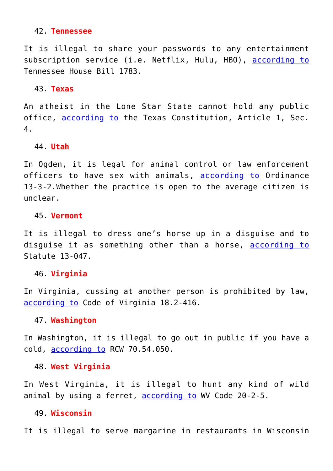#### 42. **Tennessee**

It is illegal to share your passwords to any entertainment subscription service (i.e. Netflix, Hulu, HBO), [according to](http://www.capitol.tn.gov/Bills/107/Bill/HB1783.pdf) Tennessee House Bill 1783.

#### 43. **Texas**

An atheist in the Lone Star State cannot hold any public office, [according to](http://www.statutes.legis.state.tx.us/Docs/CN/htm/CN.1.htm) the Texas Constitution, Article 1, Sec. 4.

#### 44. **Utah**

In Ogden, it is legal for animal control or law enforcement officers to have sex with animals, [according to](http://www.sterlingcodifiers.com/codebook/m_index.php?book_id=515) Ordinance 13-3-2.Whether the practice is open to the average citizen is unclear.

#### 45. **Vermont**

It is illegal to dress one's horse up in a disguise and to disguise it as something other than a horse, [according to](http://legislature.vermont.gov/statutes/section/13/047/02013) Statute 13-047.

# 46. **Virginia**

In Virginia, cussing at another person is prohibited by law, [according to](http://law.lis.virginia.gov/vacode/title18.2/chapter9/section18.2-416/) Code of Virginia 18.2-416.

#### 47. **Washington**

In Washington, it is illegal to go out in public if you have a cold, [according to](http://app.leg.wa.gov/Rcw/default.aspx?cite=70.54.050) RCW 70.54.050.

# 48. **West Virginia**

In West Virginia, it is illegal to hunt any kind of wild animal by using a ferret, [according to](http://www.legis.state.wv.us/WVCODE/ChapterEntire.cfm?chap=20&art=2§ion=5) WV Code 20-2-5.

#### 49. **Wisconsin**

It is illegal to serve margarine in restaurants in Wisconsin